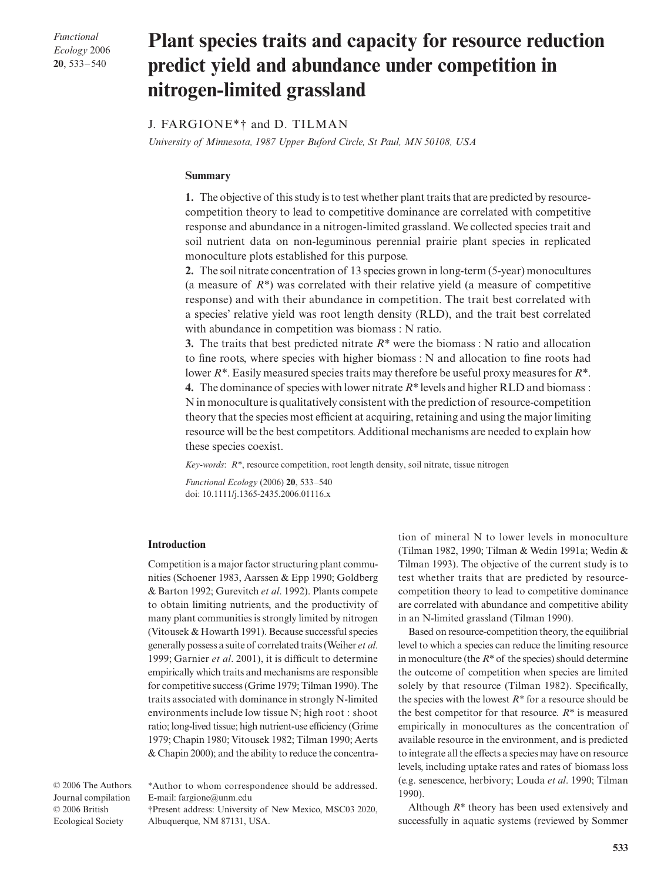*Functional Ecology* 2006 **20**, 533–540

# Plant species traits and capacity for resource reduction **predict yield and abundance under competition in nitrogen-limited grassland**

# J. FARGIONE\*† and D. TILMAN

*University of Minnesota, 1987 Upper Buford Circle, St Paul, MN 50108, USA*

#### **Summary**

**1.** The objective of this study is to test whether plant traits that are predicted by resourcecompetition theory to lead to competitive dominance are correlated with competitive response and abundance in a nitrogen-limited grassland. We collected species trait and soil nutrient data on non-leguminous perennial prairie plant species in replicated monoculture plots established for this purpose.

**2.** The soil nitrate concentration of 13 species grown in long-term (5-year) monocultures (a measure of *R\**) was correlated with their relative yield (a measure of competitive response) and with their abundance in competition. The trait best correlated with a species' relative yield was root length density (RLD), and the trait best correlated with abundance in competition was biomass : N ratio.

**3.** The traits that best predicted nitrate *R\** were the biomass : N ratio and allocation to fine roots, where species with higher biomass : N and allocation to fine roots had lower *R\**. Easily measured species traits may therefore be useful proxy measures for *R\**. **4.** The dominance of species with lower nitrate *R\** levels and higher RLD and biomass : N in monoculture is qualitatively consistent with the prediction of resource-competition theory that the species most efficient at acquiring, retaining and using the major limiting resource will be the best competitors. Additional mechanisms are needed to explain how these species coexist.

*Key-words*: *R\**, resource competition, root length density, soil nitrate, tissue nitrogen

*Functional Ecology* (2006) **20**, 533–540 doi: 10.1111/j.1365-2435.2006.01116.x

#### **Introduction**

Competition is a major factor structuring plant communities (Schoener 1983, Aarssen & Epp 1990; Goldberg & Barton 1992; Gurevitch *et al*. 1992). Plants compete to obtain limiting nutrients, and the productivity of many plant communities is strongly limited by nitrogen (Vitousek & Howarth 1991). Because successful species generally possess a suite of correlated traits (Weiher *et al*. 1999; Garnier *et al*. 2001), it is difficult to determine empirically which traits and mechanisms are responsible for competitive success (Grime 1979; Tilman 1990). The traits associated with dominance in strongly N-limited environments include low tissue N; high root : shoot ratio; long-lived tissue; high nutrient-use efficiency (Grime 1979; Chapin 1980; Vitousek 1982; Tilman 1990; Aerts & Chapin 2000); and the ability to reduce the concentra-

© 2006 The Authors. Journal compilation © 2006 British Ecological Society

\*Author to whom correspondence should be addressed. E-mail: fargione@unm.edu

†Present address: University of New Mexico, MSC03 2020, Albuquerque, NM 87131, USA.

tion of mineral N to lower levels in monoculture (Tilman 1982, 1990; Tilman & Wedin 1991a; Wedin & Tilman 1993). The objective of the current study is to test whether traits that are predicted by resourcecompetition theory to lead to competitive dominance are correlated with abundance and competitive ability in an N-limited grassland (Tilman 1990).

Based on resource-competition theory, the equilibrial level to which a species can reduce the limiting resource in monoculture (the *R\** of the species) should determine the outcome of competition when species are limited solely by that resource (Tilman 1982). Specifically, the species with the lowest *R\** for a resource should be the best competitor for that resource.  $R^*$  is measured empirically in monocultures as the concentration of available resource in the environment, and is predicted to integrate all the effects a species may have on resource levels, including uptake rates and rates of biomass loss (e.g. senescence, herbivory; Louda *et al*. 1990; Tilman 1990).

Although *R\** theory has been used extensively and successfully in aquatic systems (reviewed by Sommer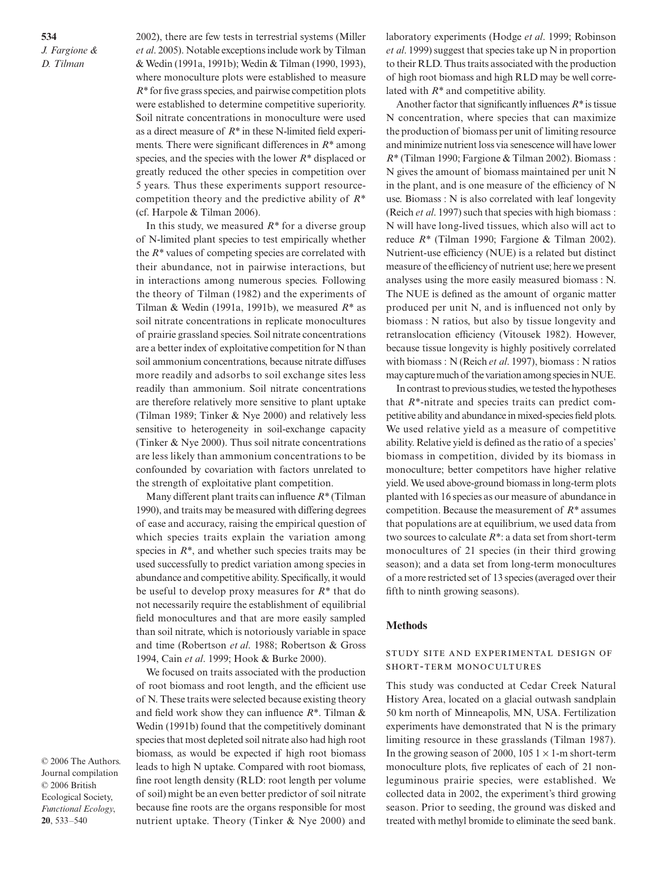**534** *J. Fargione & D. Tilman*

2002), there are few tests in terrestrial systems (Miller *et al*. 2005). Notable exceptions include work by Tilman & Wedin (1991a, 1991b); Wedin & Tilman (1990, 1993), where monoculture plots were established to measure *R\** for five grass species, and pairwise competition plots were established to determine competitive superiority. Soil nitrate concentrations in monoculture were used as a direct measure of *R\** in these N-limited field experiments. There were significant differences in *R\** among species, and the species with the lower *R\** displaced or greatly reduced the other species in competition over 5 years. Thus these experiments support resourcecompetition theory and the predictive ability of *R\** (cf. Harpole & Tilman 2006).

In this study, we measured *R\** for a diverse group of N-limited plant species to test empirically whether the *R\** values of competing species are correlated with their abundance, not in pairwise interactions, but in interactions among numerous species. Following the theory of Tilman (1982) and the experiments of Tilman & Wedin (1991a, 1991b), we measured *R\** as soil nitrate concentrations in replicate monocultures of prairie grassland species. Soil nitrate concentrations are a better index of exploitative competition for N than soil ammonium concentrations, because nitrate diffuses more readily and adsorbs to soil exchange sites less readily than ammonium. Soil nitrate concentrations are therefore relatively more sensitive to plant uptake (Tilman 1989; Tinker & Nye 2000) and relatively less sensitive to heterogeneity in soil-exchange capacity (Tinker & Nye 2000). Thus soil nitrate concentrations are less likely than ammonium concentrations to be confounded by covariation with factors unrelated to the strength of exploitative plant competition.

Many different plant traits can influence *R\** (Tilman 1990), and traits may be measured with differing degrees of ease and accuracy, raising the empirical question of which species traits explain the variation among species in  $R^*$ , and whether such species traits may be used successfully to predict variation among species in abundance and competitive ability. Specifically, it would be useful to develop proxy measures for *R\** that do not necessarily require the establishment of equilibrial field monocultures and that are more easily sampled than soil nitrate, which is notoriously variable in space and time (Robertson *et al*. 1988; Robertson & Gross 1994, Cain *et al*. 1999; Hook & Burke 2000).

We focused on traits associated with the production of root biomass and root length, and the efficient use of N. These traits were selected because existing theory and field work show they can influence *R\**. Tilman & Wedin (1991b) found that the competitively dominant species that most depleted soil nitrate also had high root biomass, as would be expected if high root biomass leads to high N uptake. Compared with root biomass, fine root length density (RLD: root length per volume of soil) might be an even better predictor of soil nitrate because fine roots are the organs responsible for most nutrient uptake. Theory (Tinker & Nye 2000) and laboratory experiments (Hodge *et al*. 1999; Robinson *et al*. 1999) suggest that species take up N in proportion to their RLD. Thus traits associated with the production of high root biomass and high RLD may be well correlated with *R\** and competitive ability.

Another factor that significantly influences *R\** is tissue N concentration, where species that can maximize the production of biomass per unit of limiting resource and minimize nutrient loss via senescence will have lower *R\** (Tilman 1990; Fargione & Tilman 2002). Biomass : N gives the amount of biomass maintained per unit N in the plant, and is one measure of the efficiency of N use. Biomass : N is also correlated with leaf longevity (Reich *et al*. 1997) such that species with high biomass : N will have long-lived tissues, which also will act to reduce *R\** (Tilman 1990; Fargione & Tilman 2002). Nutrient-use efficiency (NUE) is a related but distinct measure of the efficiency of nutrient use; here we present analyses using the more easily measured biomass : N. The NUE is defined as the amount of organic matter produced per unit N, and is influenced not only by biomass : N ratios, but also by tissue longevity and retranslocation efficiency (Vitousek 1982). However, because tissue longevity is highly positively correlated with biomass : N (Reich *et al*. 1997), biomass : N ratios may capture much of the variation among species in NUE.

In contrast to previous studies, we tested the hypotheses that *R\**-nitrate and species traits can predict competitive ability and abundance in mixed-species field plots. We used relative yield as a measure of competitive ability. Relative yield is defined as the ratio of a species' biomass in competition, divided by its biomass in monoculture; better competitors have higher relative yield. We used above-ground biomass in long-term plots planted with 16 species as our measure of abundance in competition. Because the measurement of *R\** assumes that populations are at equilibrium, we used data from two sources to calculate *R\**: a data set from short-term monocultures of 21 species (in their third growing season); and a data set from long-term monocultures of a more restricted set of 13 species (averaged over their fifth to ninth growing seasons).

#### **Methods**

## STUDY SITE AND EXPERIMENTAL DESIGN OF SHORT-TERM MONOCULTURES

This study was conducted at Cedar Creek Natural History Area, located on a glacial outwash sandplain 50 km north of Minneapolis, MN, USA. Fertilization experiments have demonstrated that N is the primary limiting resource in these grasslands (Tilman 1987). In the growing season of 2000,  $1051 \times 1$ -m short-term monoculture plots, five replicates of each of 21 nonleguminous prairie species, were established. We collected data in 2002, the experiment's third growing season. Prior to seeding, the ground was disked and treated with methyl bromide to eliminate the seed bank.

© 2006 The Authors. Journal compilation © 2006 British Ecological Society, *Functional Ecology*, **20**, 533–540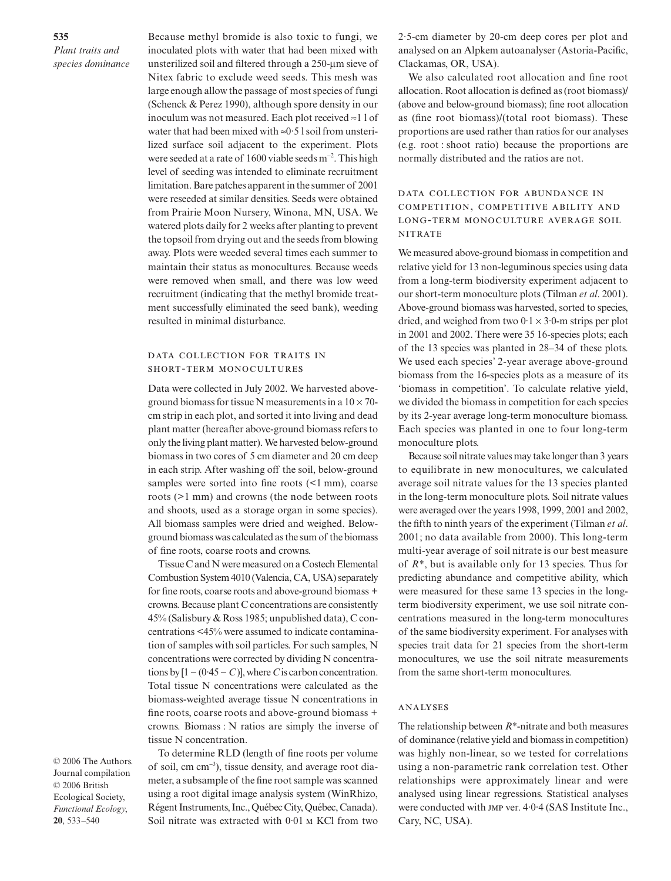**535** *Plant traits and species dominance* Because methyl bromide is also toxic to fungi, we inoculated plots with water that had been mixed with unsterilized soil and filtered through a 250-µm sieve of Nitex fabric to exclude weed seeds. This mesh was large enough allow the passage of most species of fungi (Schenck & Perez 1990), although spore density in our inoculum was not measured. Each plot received ≈1 l of water that had been mixed with ≈0·5 l soil from unsterilized surface soil adjacent to the experiment. Plots were seeded at a rate of 1600 viable seeds m<sup>-2</sup>. This high level of seeding was intended to eliminate recruitment limitation. Bare patches apparent in the summer of 2001 were reseeded at similar densities. Seeds were obtained from Prairie Moon Nursery, Winona, MN, USA. We watered plots daily for 2 weeks after planting to prevent the topsoil from drying out and the seeds from blowing away. Plots were weeded several times each summer to maintain their status as monocultures. Because weeds were removed when small, and there was low weed recruitment (indicating that the methyl bromide treatment successfully eliminated the seed bank), weeding resulted in minimal disturbance.

## DATA COLLECTION FOR TRAITS IN SHORT-TERM MONOCULTURES

Data were collected in July 2002. We harvested aboveground biomass for tissue N measurements in a  $10 \times 70$ cm strip in each plot, and sorted it into living and dead plant matter (hereafter above-ground biomass refers to only the living plant matter). We harvested below-ground biomass in two cores of 5 cm diameter and 20 cm deep in each strip. After washing off the soil, below-ground samples were sorted into fine roots  $\leq 1$  mm), coarse roots (>1 mm) and crowns (the node between roots and shoots, used as a storage organ in some species). All biomass samples were dried and weighed. Belowground biomass was calculated as the sum of the biomass of fine roots, coarse roots and crowns.

Tissue C and N were measured on a Costech Elemental Combustion System 4010 (Valencia, CA, USA) separately for fine roots, coarse roots and above-ground biomass + crowns. Because plant C concentrations are consistently 45% (Salisbury & Ross 1985; unpublished data), C concentrations <45% were assumed to indicate contamination of samples with soil particles. For such samples, N concentrations were corrected by dividing N concentrations by  $[1 - (0.45 - C)]$ , where *C* is carbon concentration. Total tissue N concentrations were calculated as the biomass-weighted average tissue N concentrations in fine roots, coarse roots and above-ground biomass + crowns. Biomass : N ratios are simply the inverse of tissue N concentration.

© 2006 The Authors. Journal compilation © 2006 British Ecological Society, *Functional Ecology*, **20**, 533–540

To determine RLD (length of fine roots per volume of soil, cm cm<sup>−</sup><sup>3</sup> ), tissue density, and average root diameter, a subsample of the fine root sample was scanned using a root digital image analysis system (WinRhizo, Régent Instruments, Inc., Québec City, Québec, Canada). Soil nitrate was extracted with 0.01 M KCl from two

2·5-cm diameter by 20-cm deep cores per plot and analysed on an Alpkem autoanalyser (Astoria-Pacific, Clackamas, OR, USA).

We also calculated root allocation and fine root allocation. Root allocation is defined as (root biomass)/ (above and below-ground biomass); fine root allocation as (fine root biomass)/(total root biomass). These proportions are used rather than ratios for our analyses (e.g. root : shoot ratio) because the proportions are normally distributed and the ratios are not.

# DATA COLLECTION FOR ABUNDANCE IN COMPETITION, COMPETITIVE ABILITY AND LONG-TERM MONOCULTURE AVERAGE SOIL **NITRATE**

We measured above-ground biomass in competition and relative yield for 13 non-leguminous species using data from a long-term biodiversity experiment adjacent to our short-term monoculture plots (Tilman *et al*. 2001). Above-ground biomass was harvested, sorted to species, dried, and weighed from two  $0.1 \times 3.0$ -m strips per plot in 2001 and 2002. There were 35 16-species plots; each of the 13 species was planted in 28–34 of these plots. We used each species' 2-year average above-ground biomass from the 16-species plots as a measure of its 'biomass in competition'. To calculate relative yield, we divided the biomass in competition for each species by its 2-year average long-term monoculture biomass. Each species was planted in one to four long-term monoculture plots.

Because soil nitrate values may take longer than 3 years to equilibrate in new monocultures, we calculated average soil nitrate values for the 13 species planted in the long-term monoculture plots. Soil nitrate values were averaged over the years 1998, 1999, 2001 and 2002, the fifth to ninth years of the experiment (Tilman *et al*. 2001; no data available from 2000). This long-term multi-year average of soil nitrate is our best measure of *R\**, but is available only for 13 species. Thus for predicting abundance and competitive ability, which were measured for these same 13 species in the longterm biodiversity experiment, we use soil nitrate concentrations measured in the long-term monocultures of the same biodiversity experiment. For analyses with species trait data for 21 species from the short-term monocultures, we use the soil nitrate measurements from the same short-term monocultures.

#### ANALYSES

The relationship between *R\**-nitrate and both measures of dominance (relative yield and biomass in competition) was highly non-linear, so we tested for correlations using a non-parametric rank correlation test. Other relationships were approximately linear and were analysed using linear regressions. Statistical analyses were conducted with JMP ver. 4.0.4 (SAS Institute Inc., Cary, NC, USA).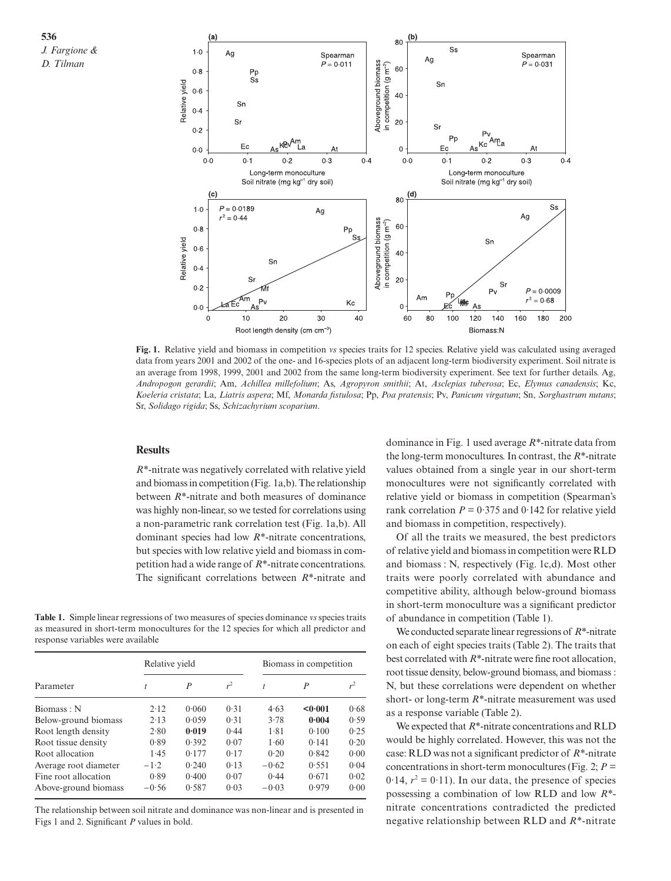**536** *J. Fargione & D. Tilman*



**Fig. 1.** Relative yield and biomass in competition *vs* species traits for 12 species. Relative yield was calculated using averaged data from years 2001 and 2002 of the one- and 16-species plots of an adjacent long-term biodiversity experiment. Soil nitrate is an average from 1998, 1999, 2001 and 2002 from the same long-term biodiversity experiment. See text for further details. Ag, *Andropogon gerardii*; Am, *Achillea millefolium*; As, *Agropyron smithii*; At, *Asclepias tuberosa*; Ec, *Elymus canadensis*; Kc, *Koeleria cristata*; La, *Liatris aspera*; Mf, *Monarda fistulosa*; Pp, *Poa pratensis*; Pv, *Panicum virgatum*; Sn, *Sorghastrum nutans*; Sr, *Solidago rigida*; Ss, *Schizachyrium scoparium*.

# **Results**

*R\**-nitrate was negatively correlated with relative yield and biomass in competition (Fig. 1a,b). The relationship between *R\**-nitrate and both measures of dominance was highly non-linear, so we tested for correlations using a non-parametric rank correlation test (Fig. 1a,b). All dominant species had low *R\**-nitrate concentrations, but species with low relative yield and biomass in competition had a wide range of *R\**-nitrate concentrations. The significant correlations between *R\**-nitrate and

**Table 1.** Simple linear regressions of two measures of species dominance *vs*species traits as measured in short-term monocultures for the 12 species for which all predictor and response variables were available

| Parameter             | Relative yield |                |       | Biomass in competition |                  |       |
|-----------------------|----------------|----------------|-------|------------------------|------------------|-------|
|                       | t              | $\overline{P}$ | $r^2$ | t                      | $\boldsymbol{P}$ | $r^2$ |
| Biomass: N            | 2.12           | 0.060          | 0.31  | 4.63                   | <0.001           | 0.68  |
| Below-ground biomass  | 2.13           | 0.059          | 0.31  | 3.78                   | 0.004            | 0.59  |
| Root length density   | 2.80           | 0.019          | 0.44  | 1.81                   | 0.100            | 0.25  |
| Root tissue density   | 0.89           | 0.392          | 0.07  | 1.60                   | 0.141            | 0.20  |
| Root allocation       | 1.45           | 0.177          | 0.17  | 0.20                   | 0.842            | 0.00  |
| Average root diameter | $-1.2$         | 0.240          | 0.13  | $-0.62$                | 0.551            | 0.04  |
| Fine root allocation  | 0.89           | 0.400          | 0.07  | 0.44                   | 0.671            | 0.02  |
| Above-ground biomass  | $-0.56$        | 0.587          | 0.03  | $-0.03$                | 0.979            | 0.00  |

The relationship between soil nitrate and dominance was non-linear and is presented in Figs 1 and 2. Significant *P* values in bold.

dominance in Fig. 1 used average *R\**-nitrate data from the long-term monocultures. In contrast, the *R\**-nitrate values obtained from a single year in our short-term monocultures were not significantly correlated with relative yield or biomass in competition (Spearman's rank correlation  $P = 0.375$  and 0.142 for relative yield and biomass in competition, respectively).

Of all the traits we measured, the best predictors of relative yield and biomass in competition were RLD and biomass : N, respectively (Fig. 1c,d). Most other traits were poorly correlated with abundance and competitive ability, although below-ground biomass in short-term monoculture was a significant predictor of abundance in competition (Table 1).

We conducted separate linear regressions of *R\**-nitrate on each of eight species traits (Table 2). The traits that best correlated with *R\**-nitrate were fine root allocation, root tissue density, below-ground biomass, and biomass : N, but these correlations were dependent on whether short- or long-term *R\**-nitrate measurement was used as a response variable (Table 2).

We expected that *R\**-nitrate concentrations and RLD would be highly correlated. However, this was not the case: RLD was not a significant predictor of *R\**-nitrate concentrations in short-term monocultures (Fig. 2;  $P =$  $0.14$ ,  $r^2 = 0.11$ ). In our data, the presence of species possessing a combination of low RLD and low *R\** nitrate concentrations contradicted the predicted negative relationship between RLD and *R\**-nitrate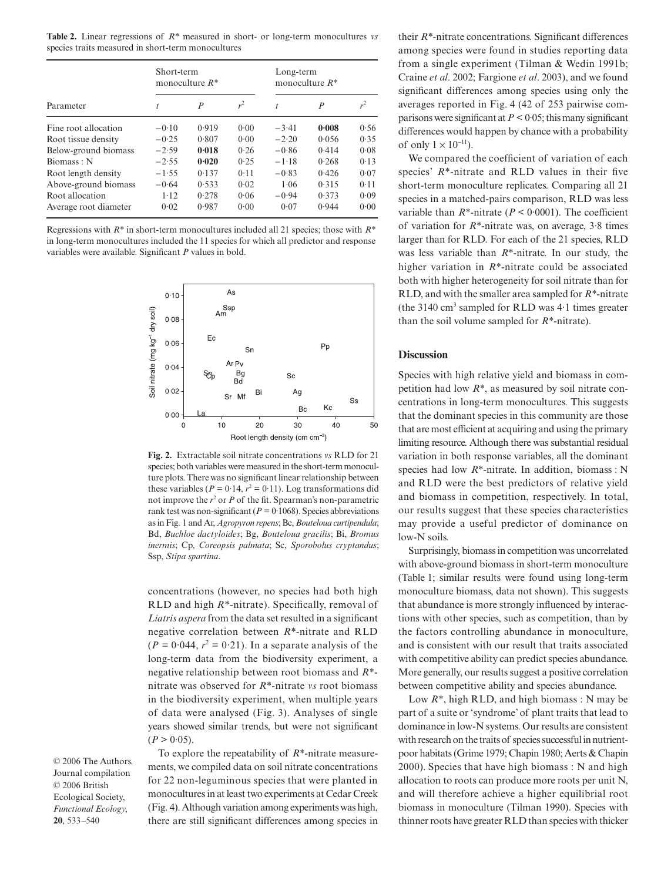**537 Table 2.** Linear regressions of *R\** measured in short- or long-term monocultures *vs Plant traits and*  species traits measured in short-term monocultures

| Parameter             | Short-term<br>monoculture $R^*$ |                  |       | Long-term<br>monoculture $R^*$ |                  |       |
|-----------------------|---------------------------------|------------------|-------|--------------------------------|------------------|-------|
|                       |                                 | $\boldsymbol{P}$ | $r^2$ | t                              | $\boldsymbol{P}$ | $r^2$ |
| Fine root allocation  | $-0.10$                         | 0.919            | 0.00  | $-3.41$                        | 0.008            | 0.56  |
| Root tissue density   | $-0.25$                         | 0.807            | 0.00  | $-2.20$                        | 0.056            | 0.35  |
| Below-ground biomass  | $-2.59$                         | 0.018            | 0.26  | $-0.86$                        | 0.414            | 0.08  |
| Biomass: N            | $-2.55$                         | 0.020            | 0.25  | $-1.18$                        | 0.268            | 0.13  |
| Root length density   | $-1.55$                         | 0.137            | 0.11  | $-0.83$                        | 0.426            | 0.07  |
| Above-ground biomass  | $-0.64$                         | 0.533            | 0.02  | 1.06                           | 0.315            | 0.11  |
| Root allocation       | $1-12$                          | 0.278            | 0.06  | $-0.94$                        | 0.373            | 0.09  |
| Average root diameter | 0.02                            | 0.987            | 0.00  | 0.07                           | 0.944            | 0.00  |

Regressions with *R\** in short-term monocultures included all 21 species; those with *R\** in long-term monocultures included the 11 species for which all predictor and response variables were available. Significant *P* values in bold.



**Fig. 2.** Extractable soil nitrate concentrations *vs* RLD for 21 species; both variables were measured in the short-term monoculture plots. There was no significant linear relationship between these variables ( $P = 0.14$ ,  $r^2 = 0.11$ ). Log transformations did not improve the *r* <sup>2</sup> or *P* of the fit. Spearman's non-parametric rank test was non-significant ( $P = 0.1068$ ). Species abbreviations as in Fig. 1 and Ar, *Agropyron repens*; Bc, *Bouteloua curtipendula*; Bd, *Buchloe dactyloides*; Bg, *Bouteloua gracilis*; Bi, *Bromus inermis*; Cp, *Coreopsis palmata*; Sc, *Sporobolus cryptandus*; Ssp, *Stipa spartina*.

concentrations (however, no species had both high RLD and high *R\**-nitrate). Specifically, removal of *Liatris aspera* from the data set resulted in a significant negative correlation between *R\**-nitrate and RLD  $(P = 0.044, r^2 = 0.21)$ . In a separate analysis of the long-term data from the biodiversity experiment, a negative relationship between root biomass and *R\** nitrate was observed for *R\**-nitrate *vs* root biomass in the biodiversity experiment, when multiple years of data were analysed (Fig. 3). Analyses of single years showed similar trends, but were not significant  $(P > 0.05)$ .

© 2006 The Authors. Journal compilation © 2006 British Ecological Society, *Functional Ecology*, **20**, 533–540

To explore the repeatability of *R\**-nitrate measurements, we compiled data on soil nitrate concentrations for 22 non-leguminous species that were planted in monocultures in at least two experiments at Cedar Creek (Fig. 4). Although variation among experiments was high, there are still significant differences among species in

their *R\**-nitrate concentrations. Significant differences among species were found in studies reporting data from a single experiment (Tilman & Wedin 1991b; Craine *et al*. 2002; Fargione *et al*. 2003), and we found significant differences among species using only the averages reported in Fig. 4 (42 of 253 pairwise comparisons were significant at *P* < 0·05; this many significant differences would happen by chance with a probability of only  $1 \times 10^{-11}$ ).

We compared the coefficient of variation of each species' *R\**-nitrate and RLD values in their five short-term monoculture replicates. Comparing all 21 species in a matched-pairs comparison, RLD was less variable than *R\**-nitrate (*P <* 0·0001). The coefficient of variation for *R\**-nitrate was, on average, 3·8 times larger than for RLD. For each of the 21 species, RLD was less variable than *R\**-nitrate. In our study, the higher variation in *R\**-nitrate could be associated both with higher heterogeneity for soil nitrate than for RLD, and with the smaller area sampled for *R\**-nitrate (the 3140  $\text{cm}^3$  sampled for RLD was 4.1 times greater than the soil volume sampled for *R\**-nitrate).

### **Discussion**

Species with high relative yield and biomass in competition had low *R\**, as measured by soil nitrate concentrations in long-term monocultures. This suggests that the dominant species in this community are those that are most efficient at acquiring and using the primary limiting resource. Although there was substantial residual variation in both response variables, all the dominant species had low *R\**-nitrate. In addition, biomass : N and RLD were the best predictors of relative yield and biomass in competition, respectively. In total, our results suggest that these species characteristics may provide a useful predictor of dominance on low-N soils.

Surprisingly, biomass in competition was uncorrelated with above-ground biomass in short-term monoculture (Table 1; similar results were found using long-term monoculture biomass, data not shown). This suggests that abundance is more strongly influenced by interactions with other species, such as competition, than by the factors controlling abundance in monoculture, and is consistent with our result that traits associated with competitive ability can predict species abundance. More generally, our results suggest a positive correlation between competitive ability and species abundance.

Low *R\**, high RLD, and high biomass : N may be part of a suite or 'syndrome' of plant traits that lead to dominance in low-N systems. Our results are consistent with research on the traits of species successful in nutrientpoor habitats (Grime 1979; Chapin 1980; Aerts & Chapin 2000). Species that have high biomass : N and high allocation to roots can produce more roots per unit N, and will therefore achieve a higher equilibrial root biomass in monoculture (Tilman 1990). Species with thinner roots have greater RLD than species with thicker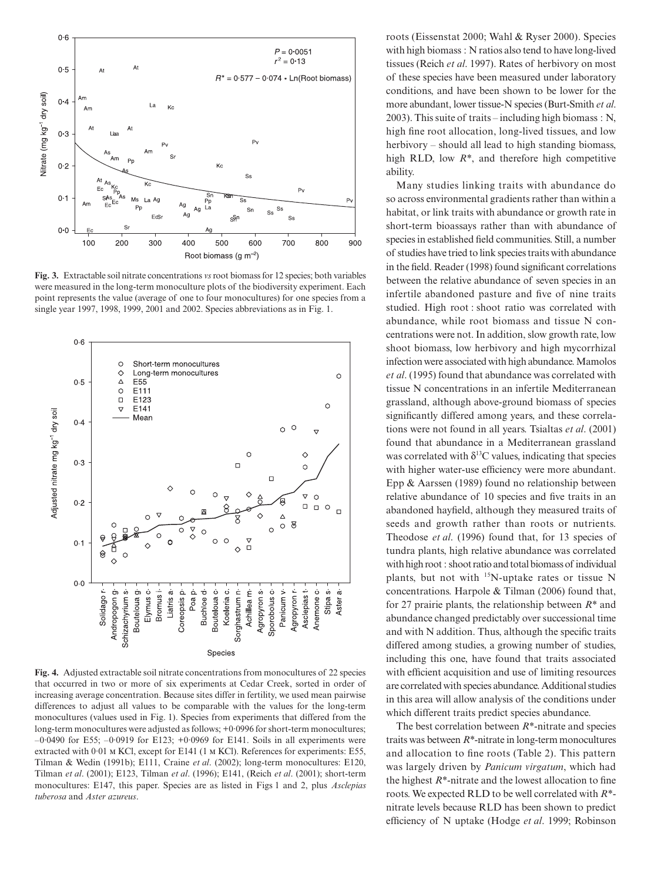

**Fig. 3.** Extractable soil nitrate concentrations *vs*root biomass for 12 species; both variables were measured in the long-term monoculture plots of the biodiversity experiment. Each point represents the value (average of one to four monocultures) for one species from a single year 1997, 1998, 1999, 2001 and 2002. Species abbreviations as in Fig. 1.



Tilman & Wedin (1991b); E111, Craine et al. (2002); long-term monocultures: E120, Tilman *et al.* (2001); E123, Tilman *et al.* (1996); E141, (Reich *et al.* (2001); short-term monocultures: E147, this paper. Species are as listed in Figs 1 and 2, plus *Asclepias* Ecological Society, *tuberosa* and *Aster azureus*.**Fig. 4.** Adjusted extractable soil nitrate concentrations from monocultures of 22 species that occurred in two or more of six experiments at Cedar Creek, sorted in order of increasing average concentration. Because sites differ in fertility, we used mean pairwise differences to adjust all values to be comparable with the values for the long-term monocultures (values used in Fig. 1). Species from experiments that differed from the long-term monocultures were adjusted as follows; +0·0996 for short-term monocultures; –0·0490 for E55; –0·0919 for E123; +0·0969 for E141. Soils in all experiments were extracted with 0·01 M KCl, except for E141 (1 M KCl). References for experiments: E55,

roots (Eissenstat 2000; Wahl & Ryser 2000). Species with high biomass : N ratios also tend to have long-lived tissues (Reich *et al*. 1997). Rates of herbivory on most of these species have been measured under laboratory conditions, and have been shown to be lower for the more abundant, lower tissue-N species (Burt-Smith *et al*. 2003). This suite of traits – including high biomass : N, high fine root allocation, long-lived tissues, and low herbivory – should all lead to high standing biomass, high RLD, low *R\**, and therefore high competitive ability.

Many studies linking traits with abundance do so across environmental gradients rather than within a habitat, or link traits with abundance or growth rate in short-term bioassays rather than with abundance of species in established field communities. Still, a number of studies have tried to link species traits with abundance in the field. Reader (1998) found significant correlations between the relative abundance of seven species in an infertile abandoned pasture and five of nine traits studied. High root : shoot ratio was correlated with abundance, while root biomass and tissue N concentrations were not. In addition, slow growth rate, low shoot biomass, low herbivory and high mycorrhizal infection were associated with high abundance. Mamolos *et al*. (1995) found that abundance was correlated with tissue N concentrations in an infertile Mediterranean grassland, although above-ground biomass of species significantly differed among years, and these correlations were not found in all years. Tsialtas *et al*. (2001) found that abundance in a Mediterranean grassland was correlated with  $\delta^{13}$ C values, indicating that species with higher water-use efficiency were more abundant. Epp & Aarssen (1989) found no relationship between relative abundance of 10 species and five traits in an abandoned hayfield, although they measured traits of seeds and growth rather than roots or nutrients. Theodose *et al*. (1996) found that, for 13 species of tundra plants, high relative abundance was correlated with high root : shoot ratio and total biomass of individual plants, but not with <sup>15</sup>N-uptake rates or tissue N concentrations. Harpole & Tilman (2006) found that, for 27 prairie plants, the relationship between *R\** and abundance changed predictably over successional time and with N addition. Thus, although the specific traits differed among studies, a growing number of studies, including this one, have found that traits associated with efficient acquisition and use of limiting resources are correlated with species abundance. Additional studies in this area will allow analysis of the conditions under which different traits predict species abundance.

The best correlation between *R\**-nitrate and species traits was between *R\**-nitrate in long-term monocultures and allocation to fine roots (Table 2). This pattern was largely driven by *Panicum virgatum*, which had the highest *R\**-nitrate and the lowest allocation to fine roots. We expected RLD to be well correlated with *R\** nitrate levels because RLD has been shown to predict efficiency of N uptake (Hodge *et al*. 1999; Robinson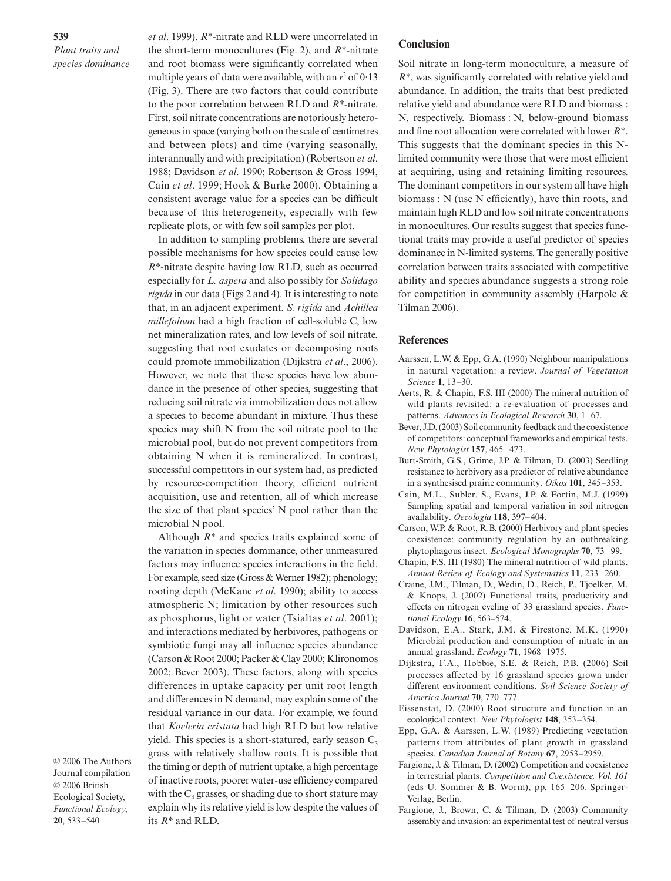**539** *Plant traits and species dominance* *et al*. 1999). *R\**-nitrate and RLD were uncorrelated in the short-term monocultures (Fig. 2), and *R\**-nitrate and root biomass were significantly correlated when multiple years of data were available, with an  $r^2$  of 0.13 (Fig. 3). There are two factors that could contribute to the poor correlation between RLD and *R\**-nitrate. First, soil nitrate concentrations are notoriously heterogeneous in space (varying both on the scale of centimetres and between plots) and time (varying seasonally, interannually and with precipitation) (Robertson *et al*. 1988; Davidson *et al*. 1990; Robertson & Gross 1994, Cain *et al*. 1999; Hook & Burke 2000). Obtaining a consistent average value for a species can be difficult because of this heterogeneity, especially with few replicate plots, or with few soil samples per plot.

In addition to sampling problems, there are several possible mechanisms for how species could cause low *R\**-nitrate despite having low RLD, such as occurred especially for *L. aspera* and also possibly for *Solidago rigida* in our data (Figs 2 and 4). It is interesting to note that, in an adjacent experiment, *S. rigida* and *Achillea millefolium* had a high fraction of cell-soluble C, low net mineralization rates, and low levels of soil nitrate, suggesting that root exudates or decomposing roots could promote immobilization (Dijkstra *et al*., 2006). However, we note that these species have low abundance in the presence of other species, suggesting that reducing soil nitrate via immobilization does not allow a species to become abundant in mixture. Thus these species may shift N from the soil nitrate pool to the microbial pool, but do not prevent competitors from obtaining N when it is remineralized. In contrast, successful competitors in our system had, as predicted by resource-competition theory, efficient nutrient acquisition, use and retention, all of which increase the size of that plant species' N pool rather than the microbial N pool.

Although *R\** and species traits explained some of the variation in species dominance, other unmeasured factors may influence species interactions in the field. For example, seed size (Gross & Werner 1982); phenology; rooting depth (McKane *et al*. 1990); ability to access atmospheric N; limitation by other resources such as phosphorus, light or water (Tsialtas *et al*. 2001); and interactions mediated by herbivores, pathogens or symbiotic fungi may all influence species abundance (Carson & Root 2000; Packer & Clay 2000; Klironomos 2002; Bever 2003). These factors, along with species differences in uptake capacity per unit root length and differences in N demand, may explain some of the residual variance in our data. For example, we found that *Koeleria cristata* had high RLD but low relative yield. This species is a short-statured, early season  $C_3$ grass with relatively shallow roots. It is possible that the timing or depth of nutrient uptake, a high percentage of inactive roots, poorer water-use efficiency compared with the  $C_4$  grasses, or shading due to short stature may explain why its relative yield is low despite the values of its *R\** and RLD.

© 2006 The Authors. Journal compilation © 2006 British Ecological Society, *Functional Ecology*, **20**, 533–540

#### **Conclusion**

Soil nitrate in long-term monoculture, a measure of *R\**, was significantly correlated with relative yield and abundance. In addition, the traits that best predicted relative yield and abundance were RLD and biomass : N, respectively. Biomass : N, below-ground biomass and fine root allocation were correlated with lower *R\**. This suggests that the dominant species in this Nlimited community were those that were most efficient at acquiring, using and retaining limiting resources. The dominant competitors in our system all have high biomass : N (use N efficiently), have thin roots, and maintain high RLD and low soil nitrate concentrations in monocultures. Our results suggest that species functional traits may provide a useful predictor of species dominance in N-limited systems. The generally positive correlation between traits associated with competitive ability and species abundance suggests a strong role for competition in community assembly (Harpole & Tilman 2006).

#### **References**

- Aarssen, L.W. & Epp, G.A. (1990) Neighbour manipulations in natural vegetation: a review. *Journal of Vegetation Science* **1**, 13–30.
- Aerts, R. & Chapin, F.S. III (2000) The mineral nutrition of wild plants revisited: a re-evaluation of processes and patterns. *Advances in Ecological Research* **30**, 1–67.
- Bever, J.D. (2003) Soil community feedback and the coexistence of competitors: conceptual frameworks and empirical tests. *New Phytologist* **157**, 465–473.
- Burt-Smith, G.S., Grime, J.P. & Tilman, D. (2003) Seedling resistance to herbivory as a predictor of relative abundance in a synthesised prairie community. *Oikos* **101**, 345–353.
- Cain, M.L., Subler, S., Evans, J.P. & Fortin, M.J. (1999) Sampling spatial and temporal variation in soil nitrogen availability. *Oecologia* **118**, 397–404.
- Carson, W.P. & Root, R.B. (2000) Herbivory and plant species coexistence: community regulation by an outbreaking phytophagous insect. *Ecological Monographs* **70**, 73–99.
- Chapin, F.S. III (1980) The mineral nutrition of wild plants. *Annual Review of Ecology and Systematics* **11**, 233–260.
- Craine, J.M., Tilman, D., Wedin, D., Reich, P., Tjoelker, M. & Knops, J. (2002) Functional traits, productivity and effects on nitrogen cycling of 33 grassland species. *Functional Ecology* **16**, 563–574.
- Davidson, E.A., Stark, J.M. & Firestone, M.K. (1990) Microbial production and consumption of nitrate in an annual grassland. *Ecology* **71**, 1968–1975.
- Dijkstra, F.A., Hobbie, S.E. & Reich, P.B. (2006) Soil processes affected by 16 grassland species grown under different environment conditions. *Soil Science Society of America Journal* **70**, 770–777.
- Eissenstat, D. (2000) Root structure and function in an ecological context. *New Phytologist* **148**, 353–354.
- Epp, G.A. & Aarssen, L.W. (1989) Predicting vegetation patterns from attributes of plant growth in grassland species. *Canadian Journal of Botany* **67**, 2953–2959.
- Fargione, J. & Tilman, D. (2002) Competition and coexistence in terrestrial plants. *Competition and Coexistence, Vol. 161* (eds U. Sommer & B. Worm), pp. 165–206. Springer-Verlag, Berlin.
- Fargione, J., Brown, C. & Tilman, D. (2003) Community assembly and invasion: an experimental test of neutral versus